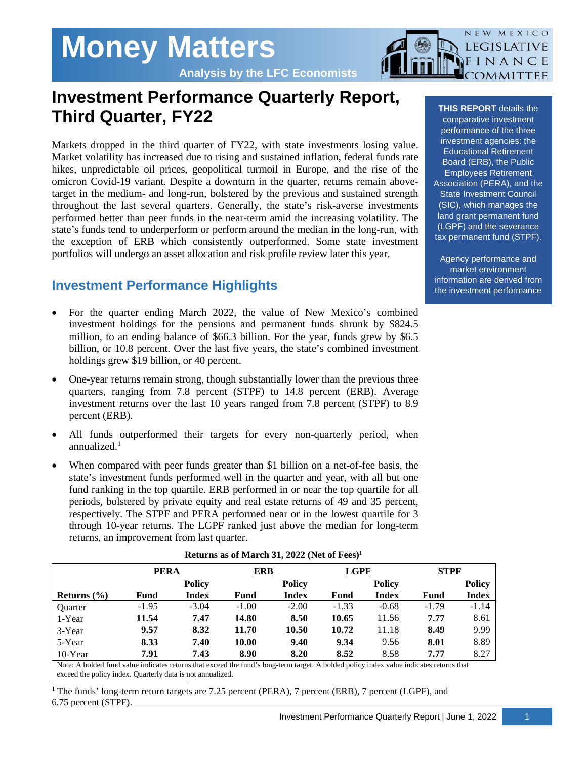# **Money Matters**

**Analysis by the LFC Economists**

## **Investment Performance Quarterly Report, Third Quarter, FY22**

Markets dropped in the third quarter of FY22, with state investments losing value. Market volatility has increased due to rising and sustained inflation, federal funds rate hikes, unpredictable oil prices, geopolitical turmoil in Europe, and the rise of the omicron Covid-19 variant. Despite a downturn in the quarter, returns remain abovetarget in the medium- and long-run, bolstered by the previous and sustained strength throughout the last several quarters. Generally, the state's risk-averse investments performed better than peer funds in the near-term amid the increasing volatility. The state's funds tend to underperform or perform around the median in the long-run, with the exception of ERB which consistently outperformed. Some state investment portfolios will undergo an asset allocation and risk profile review later this year.

### **Investment Performance Highlights**

- For the quarter ending March 2022, the value of New Mexico's combined investment holdings for the pensions and permanent funds shrunk by \$824.5 million, to an ending balance of \$66.3 billion. For the year, funds grew by \$6.5 billion, or 10.8 percent. Over the last five years, the state's combined investment holdings grew \$19 billion, or 40 percent.
- One-year returns remain strong, though substantially lower than the previous three quarters, ranging from 7.8 percent (STPF) to 14.8 percent (ERB). Average investment returns over the last 10 years ranged from 7.8 percent (STPF) to 8.9 percent (ERB).
- All funds outperformed their targets for every non-quarterly period, when annualized. [1](#page-0-0)
- When compared with peer funds greater than \$1 billion on a net-of-fee basis, the state's investment funds performed well in the quarter and year, with all but one fund ranking in the top quartile. ERB performed in or near the top quartile for all periods, bolstered by private equity and real estate returns of 49 and 35 percent, respectively. The STPF and PERA performed near or in the lowest quartile for 3 through 10-year returns. The LGPF ranked just above the median for long-term returns, an improvement from last quarter.

|                 | <b>PERA</b> |               | <b>ERB</b> |               | <b>LGPF</b> |               | <b>STPF</b> |               |
|-----------------|-------------|---------------|------------|---------------|-------------|---------------|-------------|---------------|
|                 |             | <b>Policy</b> |            | <b>Policy</b> |             | <b>Policy</b> |             | <b>Policy</b> |
| Returns $(\% )$ | Fund        | Index         | Fund       | <b>Index</b>  | Fund        | Index         | Fund        | Index         |
| <b>Ouarter</b>  | $-1.95$     | $-3.04$       | $-1.00$    | $-2.00$       | $-1.33$     | $-0.68$       | $-1.79$     | $-1.14$       |
| 1-Year          | 11.54       | 7.47          | 14.80      | 8.50          | 10.65       | 11.56         | 7.77        | 8.61          |
| 3-Year          | 9.57        | 8.32          | 11.70      | 10.50         | 10.72       | 11.18         | 8.49        | 9.99          |
| 5-Year          | 8.33        | 7.40          | 10.00      | 9.40          | 9.34        | 9.56          | 8.01        | 8.89          |
| $10$ -Year      | 7.91        | 7.43          | 8.90       | 8.20          | 8.52        | 8.58          | 7.77        | 8.27          |

#### **Returns as of March 31, 2022** (Net of Fees)<sup>1</sup>

Note: A bolded fund value indicates returns that exceed the fund's long-term target. A bolded policy index value indicates returns that exceed the policy index. Quarterly data is not annualized.

<span id="page-0-0"></span><sup>1</sup> The funds' long-term return targets are 7.25 percent (PERA), 7 percent (ERB), 7 percent (LGPF), and 6.75 percent (STPF).

**THIS REPORT** details the comparative investment performance of the three investment agencies: the Educational Retirement Board (ERB), the Public Employees Retirement Association (PERA), and the State Investment Council (SIC), which manages the land grant permanent fund (LGPF) and the severance tax permanent fund (STPF).

NEW MEXICO LEGISLATIVE FINANCE OMMITTEE

Agency performance and market environment information are derived from the investment performance